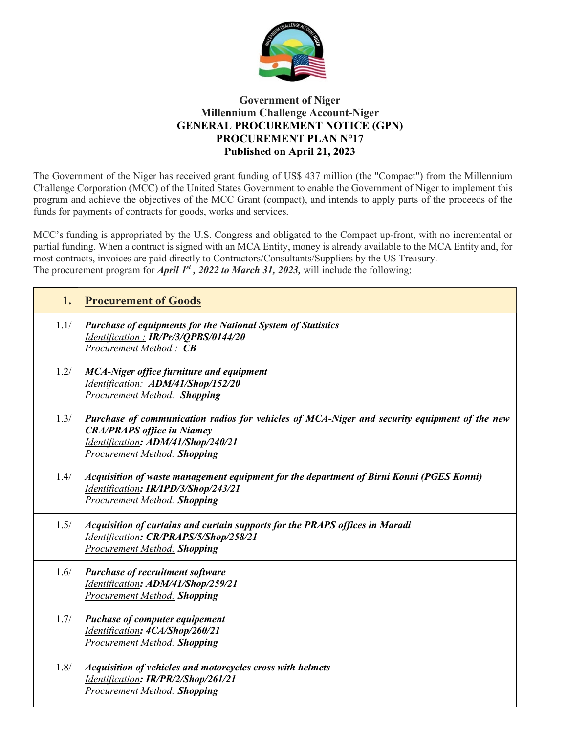

## **Government of Niger Millennium Challenge Account-Niger GENERAL PROCUREMENT NOTICE (GPN) PROCUREMENT PLAN N°17 Published on April 21, 2023**

The Government of the Niger has received grant funding of US\$ 437 million (the "Compact") from the Millennium Challenge Corporation (MCC) of the United States Government to enable the Government of Niger to implement this program and achieve the objectives of the MCC Grant (compact), and intends to apply parts of the proceeds of the funds for payments of contracts for goods, works and services.

MCC's funding is appropriated by the U.S. Congress and obligated to the Compact up-front, with no incremental or partial funding. When a contract is signed with an MCA Entity, money is already available to the MCA Entity and, for most contracts, invoices are paid directly to Contractors/Consultants/Suppliers by the US Treasury. The procurement program for *April 1st , 2022 to March 31, 2023,* will include the following:

| 1.   | <b>Procurement of Goods</b>                                                                                                                                                                                    |  |
|------|----------------------------------------------------------------------------------------------------------------------------------------------------------------------------------------------------------------|--|
| 1.1/ | <b>Purchase of equipments for the National System of Statistics</b><br>Identification: IR/Pr/3/QPBS/0144/20<br>Procurement Method: CB                                                                          |  |
| 1.2/ | <b>MCA-Niger office furniture and equipment</b><br>Identification: ADM/41/Shop/152/20<br><b>Procurement Method: Shopping</b>                                                                                   |  |
| 1.3/ | Purchase of communication radios for vehicles of MCA-Niger and security equipment of the new<br><b>CRA/PRAPS</b> office in Niamey<br>Identification: ADM/41/Shop/240/21<br><b>Procurement Method: Shopping</b> |  |
| 1.4/ | Acquisition of waste management equipment for the department of Birni Konni (PGES Konni)<br>Identification: IR/IPD/3/Shop/243/21<br><b>Procurement Method: Shopping</b>                                        |  |
| 1.5/ | Acquisition of curtains and curtain supports for the PRAPS offices in Maradi<br>Identification: CR/PRAPS/5/Shop/258/21<br><b>Procurement Method: Shopping</b>                                                  |  |
| 1.6/ | <b>Purchase of recruitment software</b><br>Identification: ADM/41/Shop/259/21<br>Procurement Method: Shopping                                                                                                  |  |
| 1.7/ | <b>Puchase of computer equipement</b><br>Identification: 4CA/Shop/260/21<br><b>Procurement Method: Shopping</b>                                                                                                |  |
| 1.8/ | Acquisition of vehicles and motorcycles cross with helmets<br>Identification: IR/PR/2/Shop/261/21<br><b>Procurement Method: Shopping</b>                                                                       |  |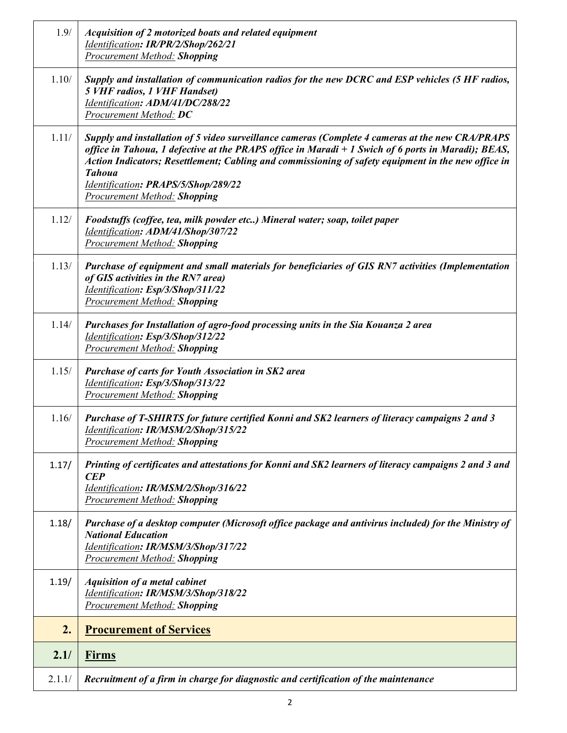| 1.9/   | Acquisition of 2 motorized boats and related equipment<br>Identification: IR/PR/2/Shop/262/21<br><b>Procurement Method: Shopping</b>                                                                                                                                                                                                                                                                          |
|--------|---------------------------------------------------------------------------------------------------------------------------------------------------------------------------------------------------------------------------------------------------------------------------------------------------------------------------------------------------------------------------------------------------------------|
| 1.10/  | Supply and installation of communication radios for the new DCRC and ESP vehicles (5 HF radios,<br><b>5 VHF radios, 1 VHF Handset)</b><br>Identification: ADM/41/DC/288/22<br><b>Procurement Method: DC</b>                                                                                                                                                                                                   |
| 1.11/  | Supply and installation of 5 video surveillance cameras (Complete 4 cameras at the new CRA/PRAPS<br>office in Tahoua, 1 defective at the PRAPS office in Maradi $+1$ Swich of 6 ports in Maradi); BEAS,<br>Action Indicators; Resettlement; Cabling and commissioning of safety equipment in the new office in<br><b>Tahoua</b><br>Identification: PRAPS/5/Shop/289/22<br><b>Procurement Method: Shopping</b> |
| 1.12/  | Foodstuffs (coffee, tea, milk powder etc) Mineral water; soap, toilet paper<br>Identification: ADM/41/Shop/307/22<br><b>Procurement Method: Shopping</b>                                                                                                                                                                                                                                                      |
| 1.13/  | Purchase of equipment and small materials for beneficiaries of GIS RN7 activities (Implementation<br>of GIS activities in the RN7 area)<br>Identification: Esp/3/Shop/311/22<br><b>Procurement Method: Shopping</b>                                                                                                                                                                                           |
| 1.14/  | Purchases for Installation of agro-food processing units in the Sia Kouanza 2 area<br>Identification: Esp/3/Shop/312/22<br><b>Procurement Method: Shopping</b>                                                                                                                                                                                                                                                |
| 1.15/  | <b>Purchase of carts for Youth Association in SK2 area</b><br>Identification: Esp/3/Shop/313/22<br><b>Procurement Method: Shopping</b>                                                                                                                                                                                                                                                                        |
| 1.16/  | Purchase of T-SHIRTS for future certified Konni and SK2 learners of literacy campaigns 2 and 3<br>Identification: IR/MSM/2/Shop/315/22<br><b>Procurement Method: Shopping</b>                                                                                                                                                                                                                                 |
| 1.17/  | Printing of certificates and attestations for Konni and SK2 learners of literacy campaigns 2 and 3 and<br><b>CEP</b><br>Identification: IR/MSM/2/Shop/316/22<br><b>Procurement Method: Shopping</b>                                                                                                                                                                                                           |
| 1.18/  | Purchase of a desktop computer (Microsoft office package and antivirus included) for the Ministry of<br><b>National Education</b><br>Identification: IR/MSM/3/Shop/317/22<br><b>Procurement Method: Shopping</b>                                                                                                                                                                                              |
| 1.19/  | <b>Aquisition of a metal cabinet</b><br>Identification: IR/MSM/3/Shop/318/22<br><b>Procurement Method: Shopping</b>                                                                                                                                                                                                                                                                                           |
| 2.     | <b>Procurement of Services</b>                                                                                                                                                                                                                                                                                                                                                                                |
| 2.1/   | <b>Firms</b>                                                                                                                                                                                                                                                                                                                                                                                                  |
| 2.1.1/ | Recruitment of a firm in charge for diagnostic and certification of the maintenance                                                                                                                                                                                                                                                                                                                           |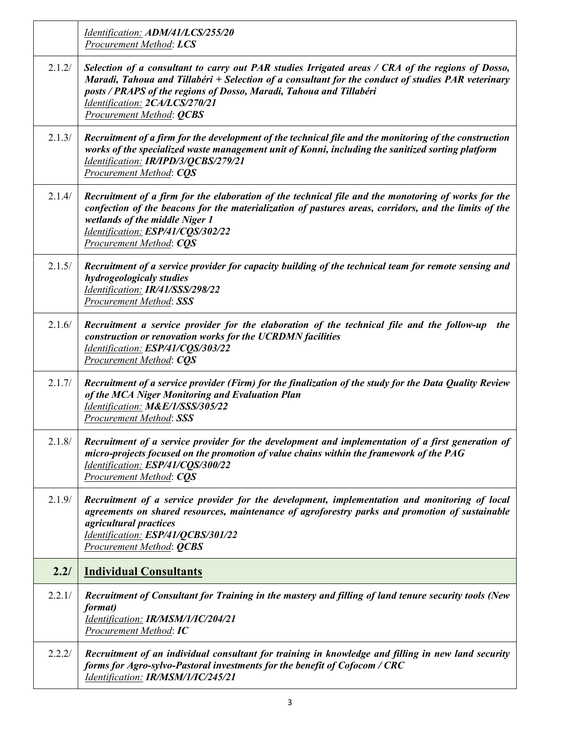|        | Identification: ADM/41/LCS/255/20<br><b>Procurement Method: LCS</b>                                                                                                                                                                                                                                                                                 |
|--------|-----------------------------------------------------------------------------------------------------------------------------------------------------------------------------------------------------------------------------------------------------------------------------------------------------------------------------------------------------|
| 2.1.2/ | Selection of a consultant to carry out PAR studies Irrigated areas / CRA of the regions of Dosso,<br>Maradi, Tahoua and Tillabéri + Selection of a consultant for the conduct of studies PAR veterinary<br>posts / PRAPS of the regions of Dosso, Maradi, Tahoua and Tillabéri<br>Identification: 2CA/LCS/270/21<br><b>Procurement Method: QCBS</b> |
| 2.1.3/ | Recruitment of a firm for the development of the technical file and the monitoring of the construction<br>works of the specialized waste management unit of Konni, including the sanitized sorting platform<br>Identification: IR/IPD/3/QCBS/279/21<br>Procurement Method: CQS                                                                      |
| 2.1.4/ | Recruitment of a firm for the elaboration of the technical file and the monotoring of works for the<br>confection of the beacons for the materialization of pastures areas, corridors, and the limits of the<br>wetlands of the middle Niger 1<br>Identification: ESP/41/CQS/302/22<br><b>Procurement Method: CQS</b>                               |
| 2.1.5/ | Recruitment of a service provider for capacity building of the technical team for remote sensing and<br>hydrogeologicaly studies<br>Identification: IR/41/SSS/298/22<br><b>Procurement Method: SSS</b>                                                                                                                                              |
| 2.1.6/ | Recruitment a service provider for the elaboration of the technical file and the follow-up<br>the<br>construction or renovation works for the UCRDMN facilities<br>Identification: ESP/41/CQS/303/22<br><b>Procurement Method: CQS</b>                                                                                                              |
| 2.1.7/ | Recruitment of a service provider (Firm) for the finalization of the study for the Data Quality Review<br>of the MCA Niger Monitoring and Evaluation Plan<br>Identification: M&E/1/SSS/305/22<br><b>Procurement Method: SSS</b>                                                                                                                     |
| 2.1.8/ | Recruitment of a service provider for the development and implementation of a first generation of<br>micro-projects focused on the promotion of value chains within the framework of the PAG<br>Identification: ESP/41/CQS/300/22<br><b>Procurement Method: CQS</b>                                                                                 |
| 2.1.9/ | Recruitment of a service provider for the development, implementation and monitoring of local<br>agreements on shared resources, maintenance of agroforestry parks and promotion of sustainable<br>agricultural practices<br>Identification: ESP/41/QCBS/301/22<br><b>Procurement Method: QCBS</b>                                                  |
| 2.2/   | <b>Individual Consultants</b>                                                                                                                                                                                                                                                                                                                       |
| 2.2.1/ | Recruitment of Consultant for Training in the mastery and filling of land tenure security tools (New<br>format)<br>Identification: IR/MSM/1/IC/204/21<br><b>Procurement Method: IC</b>                                                                                                                                                              |
| 2.2.2/ | Recruitment of an individual consultant for training in knowledge and filling in new land security<br>forms for Agro-sylvo-Pastoral investments for the benefit of Cofocom / CRC<br>Identification: IR/MSM/1/IC/245/21                                                                                                                              |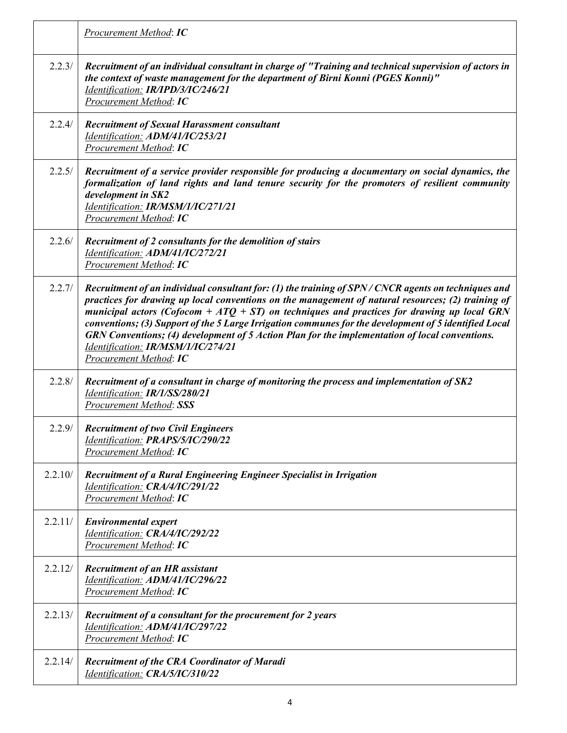|         | Procurement Method: IC                                                                                                                                                                                                                                                                                                                                                                                                                                                                                                                                                               |  |
|---------|--------------------------------------------------------------------------------------------------------------------------------------------------------------------------------------------------------------------------------------------------------------------------------------------------------------------------------------------------------------------------------------------------------------------------------------------------------------------------------------------------------------------------------------------------------------------------------------|--|
| 2.2.3/  | Recruitment of an individual consultant in charge of "Training and technical supervision of actors in<br>the context of waste management for the department of Birni Konni (PGES Konni)"<br>Identification: IR/IPD/3/IC/246/21<br><b>Procurement Method: IC</b>                                                                                                                                                                                                                                                                                                                      |  |
| 2.2.4/  | <b>Recruitment of Sexual Harassment consultant</b><br>Identification: ADM/41/IC/253/21<br>Procurement Method: IC                                                                                                                                                                                                                                                                                                                                                                                                                                                                     |  |
| 2.2.5/  | Recruitment of a service provider responsible for producing a documentary on social dynamics, the<br>formalization of land rights and land tenure security for the promoters of resilient community<br>development in SK2<br>Identification: IR/MSM/1/IC/271/21<br>Procurement Method: IC                                                                                                                                                                                                                                                                                            |  |
| 2.2.6/  | Recruitment of 2 consultants for the demolition of stairs<br>Identification: ADM/41/IC/272/21<br>Procurement Method: IC                                                                                                                                                                                                                                                                                                                                                                                                                                                              |  |
| 2.2.7/  | Recruitment of an individual consultant for: (1) the training of SPN/CNCR agents on techniques and<br>practices for drawing up local conventions on the management of natural resources; (2) training of<br>municipal actors (Cofocom + $ATQ + ST$ ) on techniques and practices for drawing up local GRN<br>conventions; (3) Support of the 5 Large Irrigation communes for the development of 5 identified Local<br>GRN Conventions; (4) development of 5 Action Plan for the implementation of local conventions.<br>Identification: IR/MSM/1/IC/274/21<br>Procurement Method: IC |  |
| 2.2.8/  | Recruitment of a consultant in charge of monitoring the process and implementation of SK2<br>Identification: IR/1/SS/280/21<br><b>Procurement Method: SSS</b>                                                                                                                                                                                                                                                                                                                                                                                                                        |  |
| 2.2.9/  | <b>Recruitment of two Civil Engineers</b><br>Identification: PRAPS/5/IC/290/22<br>Procurement Method: IC                                                                                                                                                                                                                                                                                                                                                                                                                                                                             |  |
| 2.2.10/ | Recruitment of a Rural Engineering Engineer Specialist in Irrigation<br>Identification: CRA/4/IC/291/22<br>Procurement Method: IC                                                                                                                                                                                                                                                                                                                                                                                                                                                    |  |
| 2.2.11/ | <b>Environmental expert</b><br>Identification: CRA/4/IC/292/22<br><b>Procurement Method: IC</b>                                                                                                                                                                                                                                                                                                                                                                                                                                                                                      |  |
| 2.2.12/ | <b>Recruitment of an HR assistant</b><br>Identification: ADM/41/IC/296/22<br><b>Procurement Method: IC</b>                                                                                                                                                                                                                                                                                                                                                                                                                                                                           |  |
| 2.2.13/ | Recruitment of a consultant for the procurement for 2 years<br>Identification: ADM/41/IC/297/22<br><b>Procurement Method: IC</b>                                                                                                                                                                                                                                                                                                                                                                                                                                                     |  |
| 2.2.14/ | <b>Recruitment of the CRA Coordinator of Maradi</b><br>Identification: CRA/5/IC/310/22                                                                                                                                                                                                                                                                                                                                                                                                                                                                                               |  |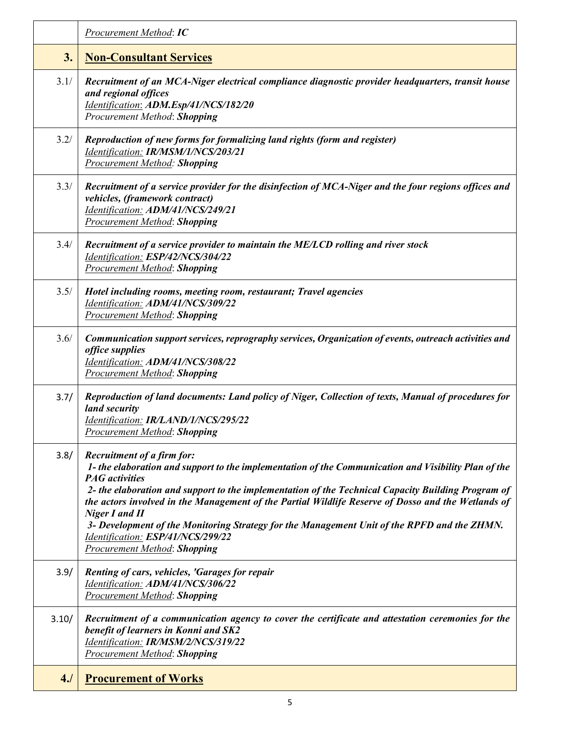|       | Procurement Method: IC                                                                                                                                                                                                                                                                                                                                                                                                                                                                                                                                                             |
|-------|------------------------------------------------------------------------------------------------------------------------------------------------------------------------------------------------------------------------------------------------------------------------------------------------------------------------------------------------------------------------------------------------------------------------------------------------------------------------------------------------------------------------------------------------------------------------------------|
| 3.    | <b>Non-Consultant Services</b>                                                                                                                                                                                                                                                                                                                                                                                                                                                                                                                                                     |
| 3.1/  | Recruitment of an MCA-Niger electrical compliance diagnostic provider headquarters, transit house<br>and regional offices<br>Identification: ADM.Esp/41/NCS/182/20<br>Procurement Method: Shopping                                                                                                                                                                                                                                                                                                                                                                                 |
| 3.2/  | Reproduction of new forms for formalizing land rights (form and register)<br>Identification: IR/MSM/1/NCS/203/21<br><b>Procurement Method: Shopping</b>                                                                                                                                                                                                                                                                                                                                                                                                                            |
| 3.3/  | Recruitment of a service provider for the disinfection of MCA-Niger and the four regions offices and<br>vehicles, (framework contract)<br>Identification: ADM/41/NCS/249/21<br><b>Procurement Method: Shopping</b>                                                                                                                                                                                                                                                                                                                                                                 |
| 3.4/  | Recruitment of a service provider to maintain the ME/LCD rolling and river stock<br>Identification: ESP/42/NCS/304/22<br><b>Procurement Method: Shopping</b>                                                                                                                                                                                                                                                                                                                                                                                                                       |
| 3.5/  | Hotel including rooms, meeting room, restaurant; Travel agencies<br>Identification: ADM/41/NCS/309/22<br><b>Procurement Method: Shopping</b>                                                                                                                                                                                                                                                                                                                                                                                                                                       |
| 3.6/  | Communication support services, reprography services, Organization of events, outreach activities and<br>office supplies<br>Identification: ADM/41/NCS/308/22<br><b>Procurement Method: Shopping</b>                                                                                                                                                                                                                                                                                                                                                                               |
| 3.7/  | Reproduction of land documents: Land policy of Niger, Collection of texts, Manual of procedures for<br>land security<br>Identification: IR/LAND/1/NCS/295/22<br><b>Procurement Method: Shopping</b>                                                                                                                                                                                                                                                                                                                                                                                |
| 3.8/  | <b>Recruitment of a firm for:</b><br>1- the elaboration and support to the implementation of the Communication and Visibility Plan of the<br><b>PAG</b> activities<br>2- the elaboration and support to the implementation of the Technical Capacity Building Program of<br>the actors involved in the Management of the Partial Wildlife Reserve of Dosso and the Wetlands of<br><b>Niger I and II</b><br>3- Development of the Monitoring Strategy for the Management Unit of the RPFD and the ZHMN.<br>Identification: ESP/41/NCS/299/22<br><b>Procurement Method: Shopping</b> |
| 3.9/  | Renting of cars, vehicles, 'Garages for repair<br>Identification: ADM/41/NCS/306/22<br><b>Procurement Method: Shopping</b>                                                                                                                                                                                                                                                                                                                                                                                                                                                         |
| 3.10/ | Recruitment of a communication agency to cover the certificate and attestation ceremonies for the<br>benefit of learners in Konni and SK2<br>Identification: IR/MSM/2/NCS/319/22<br><b>Procurement Method: Shopping</b>                                                                                                                                                                                                                                                                                                                                                            |
| 4J    | <b>Procurement of Works</b>                                                                                                                                                                                                                                                                                                                                                                                                                                                                                                                                                        |